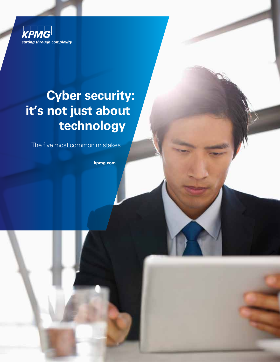

### **Cyber security: it's not just about technology**

The five most common mistakes

**kpmg.com**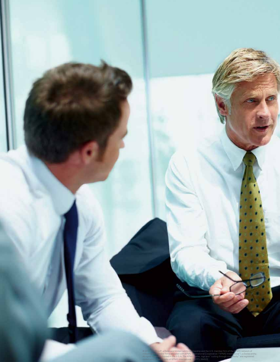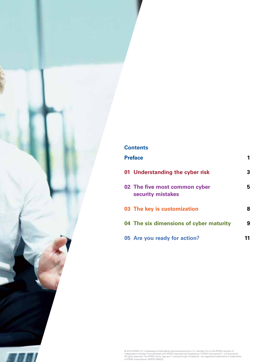### **Contents Preface 1 01 Understanding the cyber risk 3 02 The five most common cyber 5 security mistakes 03 The key is customization 8 04 The six dimensions of cyber maturity 9 05 Are you ready for action? 11**

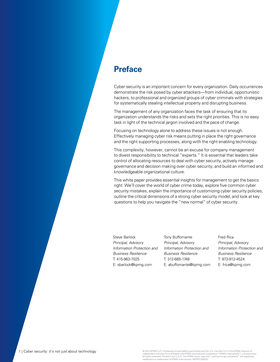#### **Preface**

Cyber security is an important concern for every organization. Daily occurrences demonstrate the risk posed by cyber attackers—from individual, opportunistic hackers, to professional and organized groups of cyber criminals with strategies for systematically stealing intellectual property and disrupting business.

The management of any organization faces the task of ensuring that its organization understands the risks and sets the right priorities. This is no easy task in light of the technical jargon involved and the pace of change.

Focusing on technology alone to address these issues is not enough. Effectively managing cyber risk means putting in place the right governance and the right supporting processes, along with the right enabling technology.

This complexity, however, cannot be an excuse for company management to divest responsibility to technical "experts." It is essential that leaders take control of allocating resources to deal with cyber security, actively manage governance and decision making over cyber security, and build an informed and knowledgeable organizational culture.

This white paper provides essential insights for management to get the basics right. We'll cover the world of cyber crime today, explore five common cyber security mistakes, explain the importance of customizing cyber security policies, outline the critical dimensions of a strong cyber security model, and look at key questions to help you navigate the "new normal" of cyber security.

Steve Barlock Principal, Advisory Information Protection and Business Resilience T: 415-963-7025 E: sbarlock@kpmg.com

Tony Buffomante Principal, Advisory Information Protection and Business Resilience T: 312-665-1748 E: abuffomante@kpmg.com Fred Rica Principal, Advisory Information Protection and Business Resilience T: 973-912-4524 E: frica@kpmg.com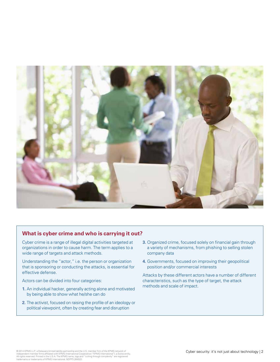

#### **What is cyber crime and who is carrying it out?**

Cyber crime is a range of illegal digital activities targeted at organizations in order to cause harm. The term applies to a wide range of targets and attack methods.

Understanding the "actor," i.e. the person or organization that is sponsoring or conducting the attacks, is essential for effective defense.

Actors can be divided into four categories:

- **1.** An individual hacker, generally acting alone and motivated by being able to show what he/she can do
- **2.** The activist, focused on raising the profile of an ideology or political viewpoint, often by creating fear and disruption
- **3.** Organized crime, focused solely on financial gain through a variety of mechanisms, from phishing to selling stolen company data
- **4.** Governments, focused on improving their geopolitical position and/or commercial interests

Attacks by these different actors have a number of different characteristics, such as the type of target, the attack methods and scale of impact.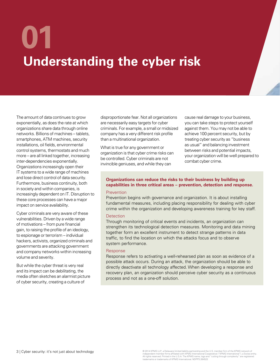# **Understanding the cyber risk 01**

The amount of data continues to grow exponentially, as does the rate at which organizations share data through online networks. Billions of machines – tablets, smartphones, ATM machines, security installations, oil fields, environmental control systems, thermostats and much more – are all linked together, increasing inter-dependencies exponentially. Organizations increasingly open their IT systems to a wide range of machines and lose direct control of data security. Furthermore, business continuity, both in society and within companies, is increasingly dependent on IT. Disruption to these core processes can have a major impact on service availability.

Cyber criminals are very aware of these vulnerabilities. Driven by a wide range of motivations – from pure financial gain, to raising the profile of an ideology, to espionage or terrorism – individual hackers, activists, organized criminals and governments are attacking government and company networks within increasing volume and severity.

But while the cyber threat is very real and its impact can be debilitating, the media often sketches an alarmist picture of cyber security, creating a culture of

disproportionate fear. Not all organizations are necessarily easy targets for cyber criminals. For example, a small or midsized company has a very different risk profile than a multinational organization.

What is true for any government or organization is that cyber crime risks can be controlled. Cyber criminals are not invincible geniuses, and while they can

cause real damage to your business, you can take steps to protect yourself against them. You may not be able to achieve 100 percent security, but by treating cyber security as "business as usual" and balancing investment between risks and potential impacts, your organization will be well prepared to combat cyber crime.

#### **Organizations can reduce the risks to their business by building up capabilities in three critical areas – prevention, detection and response.**

#### Prevention

Prevention begins with governance and organization. It is about installing fundamental measures, including placing responsibility for dealing with cyber crime within the organization and developing awareness training for key staff.

#### **Detection**

Through monitoring of critical events and incidents, an organization can strengthen its technological detection measures. Monitoring and data mining together form an excellent instrument to detect strange patterns in data traffic, to find the location on which the attacks focus and to observe system performance.

#### Response

Response refers to activating a well-rehearsed plan as soon as evidence of a possible attack occurs. During an attack, the organization should be able to directly deactivate all technology affected. When developing a response and recovery plan, an organization should perceive cyber security as a continuous process and not as a one-off solution.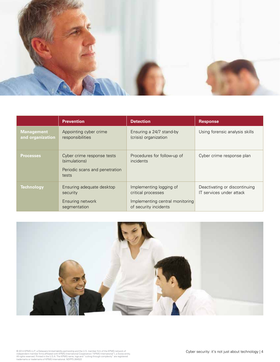

|                                       | <b>Prevention</b>                                                                      | <b>Detection</b>                                                                                          | <b>Response</b>                                           |
|---------------------------------------|----------------------------------------------------------------------------------------|-----------------------------------------------------------------------------------------------------------|-----------------------------------------------------------|
| <b>Management</b><br>and organization | Appointing cyber crime<br>responsibilities                                             | Ensuring a 24/7 stand-by<br>(crisis) organization                                                         | Using forensic analysis skills                            |
| <b>Processes</b>                      | Cyber crime response tests<br>(simulations)<br>Periodic scans and penetration<br>tests | Procedures for follow-up of<br><i>incidents</i>                                                           | Cyber crime response plan                                 |
| <b>Technology</b>                     | Ensuring adequate desktop<br>security<br>Ensuring network<br>segmentation              | Implementing logging of<br>critical processes<br>Implementing central monitoring<br>of security incidents | Deactivating or discontinuing<br>IT services under attack |

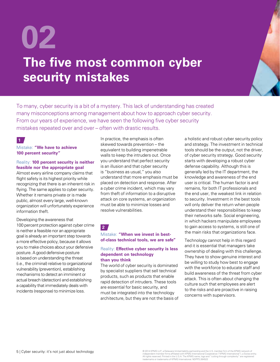## **02 The five most common cyber security mistakes**

To many, cyber security is a bit of a mystery. This lack of understanding has created many misconceptions among management about how to approach cyber security. From our years of experience, we have seen the following five cyber security mistakes repeated over and over – often with drastic results.

#### **1**

#### Mistake: **"We have to achieve 100 percent security"**

#### Reality: **100 percent security is neither feasible nor the appropriate goal**

Almost every airline company claims that flight safety is its highest priority while recognizing that there is an inherent risk in flying. The same applies to cyber security. Whether it remains private or is made public, almost every large, well-known organization will unfortunately experience information theft.

Developing the awareness that 100 percent protection against cyber crime is neither a feasible nor an appropriate goal is already an important step towards a more effective policy, because it allows you to make choices about your defensive posture. A good defensive posture is based on understanding the threat (i.e., the criminal) relative to organizational vulnerability (prevention), establishing mechanisms to detect an imminent or actual breach (detection) and establishing a capability that immediately deals with incidents (response) to minimize loss.

In practice, the emphasis is often skewed towards prevention – the equivalent to building impenetrable walls to keep the intruders out. Once you understand that perfect security is an illusion and that cyber security is "business as usual," you also understand that more emphasis must be placed on detection and response. After a cyber crime incident, which may vary from theft of information to a disruptive attack on core systems, an organization must be able to minimize losses and resolve vulnerabilities.

**2**

#### Mistake: **"When we invest in bestof-class technical tools, we are safe"**

#### Reality: **Effective cyber security is less dependent on technology than you think**

The world of cyber security is dominated by specialist suppliers that sell technical products, such as products that enable rapid detection of intruders. These tools are essential for basic security, and must be integrated into the technology architecture, but they are not the basis of a holistic and robust cyber security policy and strategy. The investment in technical tools should be the output, not the driver, of cyber security strategy. Good security starts with developing a robust cyber defense capability. Although this is generally led by the IT department, the knowledge and awareness of the end user is critical. The human factor is and remains, for both IT professionals and the end user, the weakest link in relation to security. Investment in the best tools will only deliver the return when people understand their responsibilities to keep their networks safe. Social engineering, in which hackers manipulate employees to gain access to systems, is still one of the main risks that organizations face.

Technology cannot help in this regard and it is essential that managers take ownership of dealing with this challenge. They have to show genuine interest and be willing to study how best to engage with the workforce to educate staff and build awareness of the threat from cyber attack. This is often about changing the culture such that employees are alert to the risks and are proactive in raising concerns with supervisors.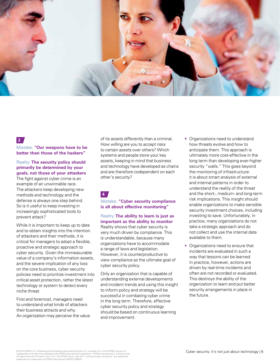

#### **3**

Mistake: **"Our weapons have to be better than those of the hackers"**

Reality: **The security policy should primarily be determined by your goals, not those of your attackers** The fight against cyber crime is an example of an unwinnable race. The attackers keep developing new methods and technology and the defense is always one step behind. So is it useful to keep investing in increasingly sophisticated tools to prevent attack?

While it is important to keep up to date and to obtain insights into the intention of attackers and their methods, it is critical for managers to adopt a flexible, proactive and strategic approach to cyber security. Given the immeasurable value of a company's information assets, and the severe implication of any loss on the core business, cyber security policies need to prioritize investment into critical asset protection, rather the latest technology or system to detect every niche threat.

First and foremost, managers need to understand what kinds of attackers their business attracts and why. An organization may perceive the value of its assets differently than a criminal. How willing are you to accept risks to certain assets over others? Which systems and people store your key assets, keeping in mind that business and technology have developed as chains and are therefore codependent on each other's security?

**4**

#### Mistake: **"Cyber security compliance is all about effective monitoring"**

Reality: **The ability to learn is just as important as the ability to monitor**  Reality shows that cyber security is very much driven by compliance. This is understandable, because many organizations have to accommodate a range of laws and legislation. However, it is counterproductive to view compliance as the ultimate goal of cyber security policy.

Only an organization that is capable of understanding external developments and incident trends and using this insight to inform policy and strategy will be successful in combating cyber crime in the long term. Therefore, effective cyber security policy and strategy should be based on continuous learning and improvement.

- Organizations need to understand how threats evolve and how to anticipate them. This approach is ultimately more cost-effective in the long term than developing ever-higher security "walls." This goes beyond the monitoring of infrastructure: it is about smart analysis of external and internal patterns in order to understand the reality of the threat and the short-, medium- and long-term risk implications. This insight should enable organizations to make sensible security investment choices, including investing to save. Unfortunately, in practice, many organizations do not take a strategic approach and do not collect and use the internal data available to them.
- Organizations need to ensure that incidents are evaluated in such a way that lessons can be learned. In practice, however, actions are driven by real-time incidents and often are not recorded or evaluated. This destroys the ability of the organization to learn and put better security arrangements in place in the future.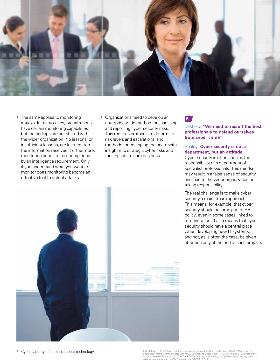

- The same applies to monitoring attacks. In many cases, organizations have certain monitoring capabilities, but the findings are not shared with the wider organization. No lessons, or insufficient lessons, are learned from the information received. Furthermore, monitoring needs to be underpinned by an intelligence requirement. Only if you understand what you want to monitor does monitoring become an effective tool to detect attacks.
- Organizations need to develop an enterprise-wide method for assessing and reporting cyber security risks. This requires protocols to determine risk levels and escalations, and methods for equipping the board with insight into strategic cyber risks and the impacts to core business.

#### **5**

Mistake: **"We need to recruit the best professionals to defend ourselves from cyber crime"**

#### Reality: **Cyber security is not a department, but an attitude**

Cyber security is often seen as the responsibility of a department of specialist professionals. This mindset may result in a false sense of security and lead to the wider organization not taking responsibility.

The real challenge is to make cyber security a mainstream approach. This means, for example, that cyber security should become part of HR policy, even in some cases linked to remuneration. It also means that cyber security should have a central place when developing new IT systems, and not, as is often the case, be given attention only at the end of such projects.

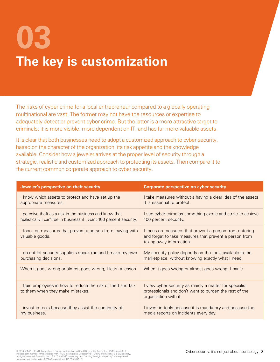# **03 The key is customization**

The risks of cyber crime for a local entrepreneur compared to a globally operating multinational are vast. The former may not have the resources or expertise to adequately detect or prevent cyber crime. But the latter is a more attractive target to criminals: it is more visible, more dependent on IT, and has far more valuable assets.

It is clear that both businesses need to adopt a customized approach to cyber security, based on the character of the organization, its risk appetite and the knowledge available. Consider how a jeweler arrives at the proper level of security through a strategic, realistic and customized approach to protecting its assets. Then compare it to the current common corporate approach to cyber security.

| Jeweler's perspective on theft security                                                           | <b>Corporate perspective on cyber security</b>                                                                                                |
|---------------------------------------------------------------------------------------------------|-----------------------------------------------------------------------------------------------------------------------------------------------|
| I know which assets to protect and have set up the                                                | I take measures without a having a clear idea of the assets                                                                                   |
| appropriate measures.                                                                             | it is essential to protect.                                                                                                                   |
| perceive theft as a risk in the business and know that                                            | I see cyber crime as something exotic and strive to achieve                                                                                   |
| realistically I can't be in business if I want 100 percent security.                              | 100 percent security.                                                                                                                         |
| I focus on measures that prevent a person from leaving with<br>valuable goods.                    | I focus on measures that prevent a person from entering<br>and forget to take measures that prevent a person from<br>taking away information. |
| I do not let security suppliers spook me and I make my own                                        | My security policy depends on the tools available in the                                                                                      |
| purchasing decisions.                                                                             | marketplace, without knowing exactly what I need.                                                                                             |
| When it goes wrong or almost goes wrong, I learn a lesson.                                        | When it goes wrong or almost goes wrong, I panic.                                                                                             |
| I train employees in how to reduce the risk of theft and talk<br>to them when they make mistakes. | I view cyber security as mainly a matter for specialist<br>professionals and don't want to burden the rest of the<br>organization with it.    |
| I invest in tools because they assist the continuity of                                           | I invest in tools because it is mandatory and because the                                                                                     |
| my business.                                                                                      | media reports on incidents every day.                                                                                                         |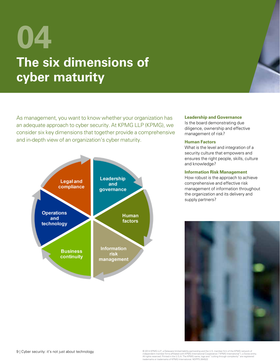## **04 The six dimensions of cyber maturity**

As management, you want to know whether your organization has an adequate approach to cyber security. At KPMG LLP (KPMG), we consider six key dimensions that together provide a comprehensive and in-depth view of an organization's cyber maturity.



#### **Leadership and Governance**

Is the board demonstrating due diligence, ownership and effective management of risk?

#### **Human Factors**

What is the level and integration of a security culture that empowers and ensures the right people, skills, culture and knowledge?

#### **Information Risk Management**

How robust is the approach to achieve comprehensive and effective risk management of information throughout the organization and its delivery and supply partners?

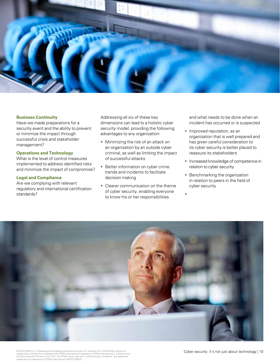

#### **Business Continuity**

Have we made preparations for a security event and the ability to prevent or minimize the impact through successful crisis and stakeholder management?

#### **Operations and Technology**

What is the level of control measures implemented to address identified risks and minimize the impact of compromise?

#### **Legal and Compliance**

Are we complying with relevant regulatory and international certification standards?

Addressing all six of these key dimensions can lead to a holistic cyber security model, providing the following advantages to any organization:

- Minimizing the risk of an attack on an organization by an outside cyber criminal, as well as limiting the impact of successful attacks
- Better information on cyber crime trends and incidents to facilitate decision making
- Clearer communication on the theme of cyber security, enabling everyone to know his or her responsibilities

and what needs to be done when an incident has occurred or is suspected

- Improved reputation, as an organization that is well prepared and has given careful consideration to its cyber security is better placed to reassure its stakeholders
- Increased knowledge of competence in relation to cyber security
- Benchmarking the organization in relation to peers in the field of cyber security

• 

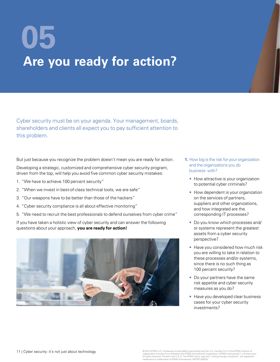# **Are you ready for action? 05**

Cyber security must be on your agenda. Your management, boards, shareholders and clients all expect you to pay sufficient attention to this problem.

But just because you recognize the problem doesn't mean you are ready for action.

Developing a strategic, customized and comprehensive cyber security program, driven from the top, will help you avoid five common cyber security mistakes:

- 1. "We have to achieve 100 percent security"
- 2. "When we invest in best-of-class technical tools, we are safe"
- 3. "Our weapons have to be better than those of the hackers"
- 4. "Cyber security compliance is all about effective monitoring"
- 5. "We need to recruit the best professionals to defend ourselves from cyber crime"

If you have taken a holistic view of cyber security and can answer the following questions about your approach, **you are ready for action!** 



- **1.** How big is the risk for your organization and the organizations you do business with?
	- How attractive is your organization to potential cyber criminals?
	- How dependent is your organization on the services of partners, suppliers and other organizations, and how integrated are the corresponding IT processes?
	- Do you know which processes and/ or systems represent the greatest assets from a cyber security perspective?
	- Have you considered how much risk you are willing to take in relation to these processes and/or systems, since there is no such thing as 100 percent security?
	- Do your partners have the same risk appetite and cyber security measures as you do?
	- Have you developed clear business cases for your cyber security investments?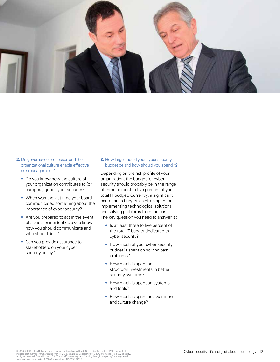

- **2.** Do governance processes and the organizational culture enable effective risk management?
	- Do you know how the culture of your organization contributes to (or hampers) good cyber security?
	- When was the last time your board communicated something about the importance of cyber security?
	- Are you prepared to act in the event of a crisis or incident? Do you know how you should communicate and who should do it?
	- Can you provide assurance to stakeholders on your cyber security policy?

**3.** How large should your cyber security budget be and how should you spend it?

Depending on the risk profile of your organization, the budget for cyber security should probably be in the range of three percent to five percent of your total IT budget. Currently, a significant part of such budgets is often spent on implementing technological solutions and solving problems from the past. The key question you need to answer is:

- Is at least three to five percent of the total IT budget dedicated to cyber security?
- How much of your cyber security budget is spent on solving past problems?
- How much is spent on structural investments in better security systems?
- How much is spent on systems and tools?
- How much is spent on awareness and culture change?